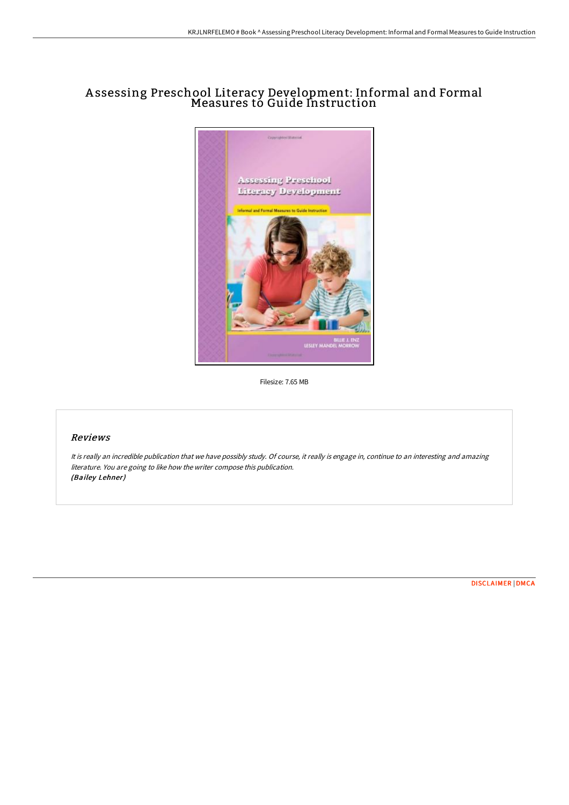## A ssessing Preschool Literacy Development: Informal and Formal Measures to Guide Instruction



Filesize: 7.65 MB

## Reviews

It is really an incredible publication that we have possibly study. Of course, it really is engage in, continue to an interesting and amazing literature. You are going to like how the writer compose this publication. (Bailey Lehner)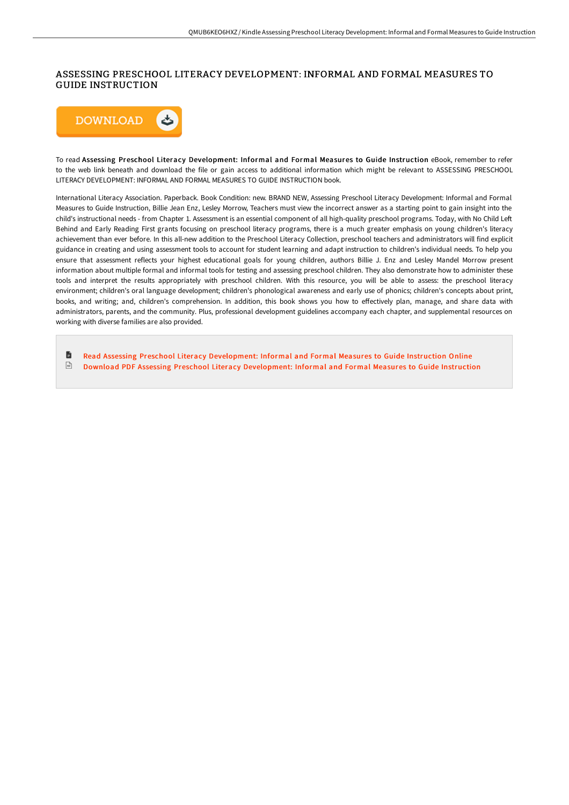## ASSESSING PRESCHOOL LITERACY DEVELOPMENT: INFORMAL AND FORMAL MEASURES TO GUIDE INSTRUCTION



To read Assessing Preschool Literacy Development: Informal and Formal Measures to Guide Instruction eBook, remember to refer to the web link beneath and download the file or gain access to additional information which might be relevant to ASSESSING PRESCHOOL LITERACY DEVELOPMENT: INFORMAL AND FORMAL MEASURES TO GUIDE INSTRUCTION book.

International Literacy Association. Paperback. Book Condition: new. BRAND NEW, Assessing Preschool Literacy Development: Informal and Formal Measures to Guide Instruction, Billie Jean Enz, Lesley Morrow, Teachers must view the incorrect answer as a starting point to gain insight into the child's instructional needs - from Chapter 1. Assessment is an essential component of all high-quality preschool programs. Today, with No Child Left Behind and Early Reading First grants focusing on preschool literacy programs, there is a much greater emphasis on young children's literacy achievement than ever before. In this all-new addition to the Preschool Literacy Collection, preschool teachers and administrators will find explicit guidance in creating and using assessment tools to account for student learning and adapt instruction to children's individual needs. To help you ensure that assessment reflects your highest educational goals for young children, authors Billie J. Enz and Lesley Mandel Morrow present information about multiple formal and informal tools for testing and assessing preschool children. They also demonstrate how to administer these tools and interpret the results appropriately with preschool children. With this resource, you will be able to assess: the preschool literacy environment; children's oral language development; children's phonological awareness and early use of phonics; children's concepts about print, books, and writing; and, children's comprehension. In addition, this book shows you how to eFectively plan, manage, and share data with administrators, parents, and the community. Plus, professional development guidelines accompany each chapter, and supplemental resources on working with diverse families are also provided.

旨 Read Assessing Preschool Literacy [Development:](http://techno-pub.tech/assessing-preschool-literacy-development-informa.html) Informal and Formal Measures to Guide Instruction Online  $\begin{tabular}{|c|c|} \hline \multicolumn{1}{|c|}{\textbf{P}W} \end{tabular}$ Download PDF Assessing Preschool Literacy [Development:](http://techno-pub.tech/assessing-preschool-literacy-development-informa.html) Informal and Formal Measures to Guide Instruction